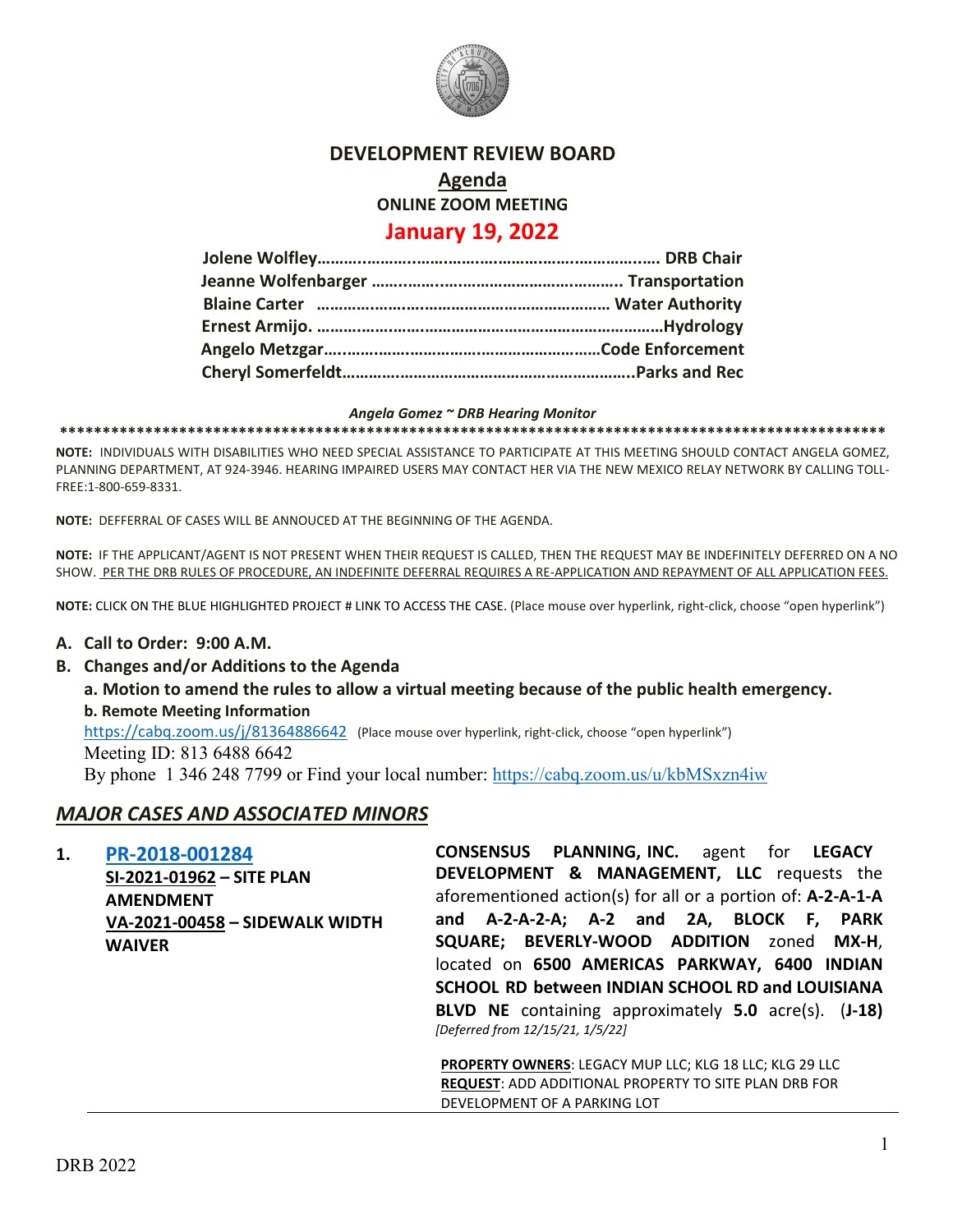

### **DEVELOPMENT REVIEW BOARD**

**Agenda**

**ONLINE ZOOM MEETING**

# **January 19, 2022**

#### *Angela Gomez ~ DRB Hearing Monitor*

**\*\*\*\*\*\*\*\*\*\*\*\*\*\*\*\*\*\*\*\*\*\*\*\*\*\*\*\*\*\*\*\*\*\*\*\*\*\*\*\*\*\*\*\*\*\*\*\*\*\*\*\*\*\*\*\*\*\*\*\*\*\*\*\*\*\*\*\*\*\*\*\*\*\*\*\*\*\*\*\*\*\*\*\*\*\*\*\*\*\*\*\*\*\*\*\*\***

**NOTE:** INDIVIDUALS WITH DISABILITIES WHO NEED SPECIAL ASSISTANCE TO PARTICIPATE AT THIS MEETING SHOULD CONTACT ANGELA GOMEZ, PLANNING DEPARTMENT, AT 924-3946. HEARING IMPAIRED USERS MAY CONTACT HER VIA THE NEW MEXICO RELAY NETWORK BY CALLING TOLL-FREE:1-800-659-8331.

**NOTE:** DEFFERRAL OF CASES WILL BE ANNOUCED AT THE BEGINNING OF THE AGENDA.

**NOTE:** IF THE APPLICANT/AGENT IS NOT PRESENT WHEN THEIR REQUEST IS CALLED, THEN THE REQUEST MAY BE INDEFINITELY DEFERRED ON A NO SHOW. PER THE DRB RULES OF PROCEDURE, AN INDEFINITE DEFERRAL REQUIRES A RE-APPLICATION AND REPAYMENT OF ALL APPLICATION FEES.

**NOTE:** CLICK ON THE BLUE HIGHLIGHTED PROJECT # LINK TO ACCESS THE CASE. (Place mouse over hyperlink, right-click, choose "open hyperlink")

#### **A. Call to Order: 9:00 A.M.**

- **B. Changes and/or Additions to the Agenda**
	- **a. Motion to amend the rules to allow a virtual meeting because of the public health emergency. b. Remote Meeting Information**

<https://cabq.zoom.us/j/81364886642> (Place mouse over hyperlink, right-click, choose "open hyperlink")

Meeting ID: 813 6488 6642

By phone 1 346 248 7799 or Find your local number:<https://cabq.zoom.us/u/kbMSxzn4iw>

## *MAJOR CASES AND ASSOCIATED MINORS*

| 1. | PR-2018-001284<br>SI-2021-01962 - SITE PLAN     | <b>CONSENSUS PLANNING, INC.</b> agent for LEGACY<br>DEVELOPMENT & MANAGEMENT, LLC requests the          |
|----|-------------------------------------------------|---------------------------------------------------------------------------------------------------------|
|    | <b>AMENDMENT</b>                                | aforementioned action(s) for all or a portion of: A-2-A-1-A<br>and A-2-A-2-A; A-2 and 2A, BLOCK F, PARK |
|    | VA-2021-00458 - SIDEWALK WIDTH<br><b>WAIVER</b> | <b>SQUARE; BEVERLY-WOOD ADDITION</b> zoned<br>MX-H,                                                     |
|    |                                                 | located on 6500 AMERICAS PARKWAY, 6400 INDIAN<br>SCHOOL RD between INDIAN SCHOOL RD and LOUISIANA       |
|    |                                                 | BLVD NE containing approximately 5.0 acre(s). (J-18)<br>[Deferred from 12/15/21, 1/5/22]                |
|    |                                                 | <b>PROPERTY OWNERS: LEGACY MUP LLC; KLG 18 LLC; KLG 29 LLC</b>                                          |

**REQUEST**: ADD ADDITIONAL PROPERTY TO SITE PLAN DRB FOR DEVELOPMENT OF A PARKING LOT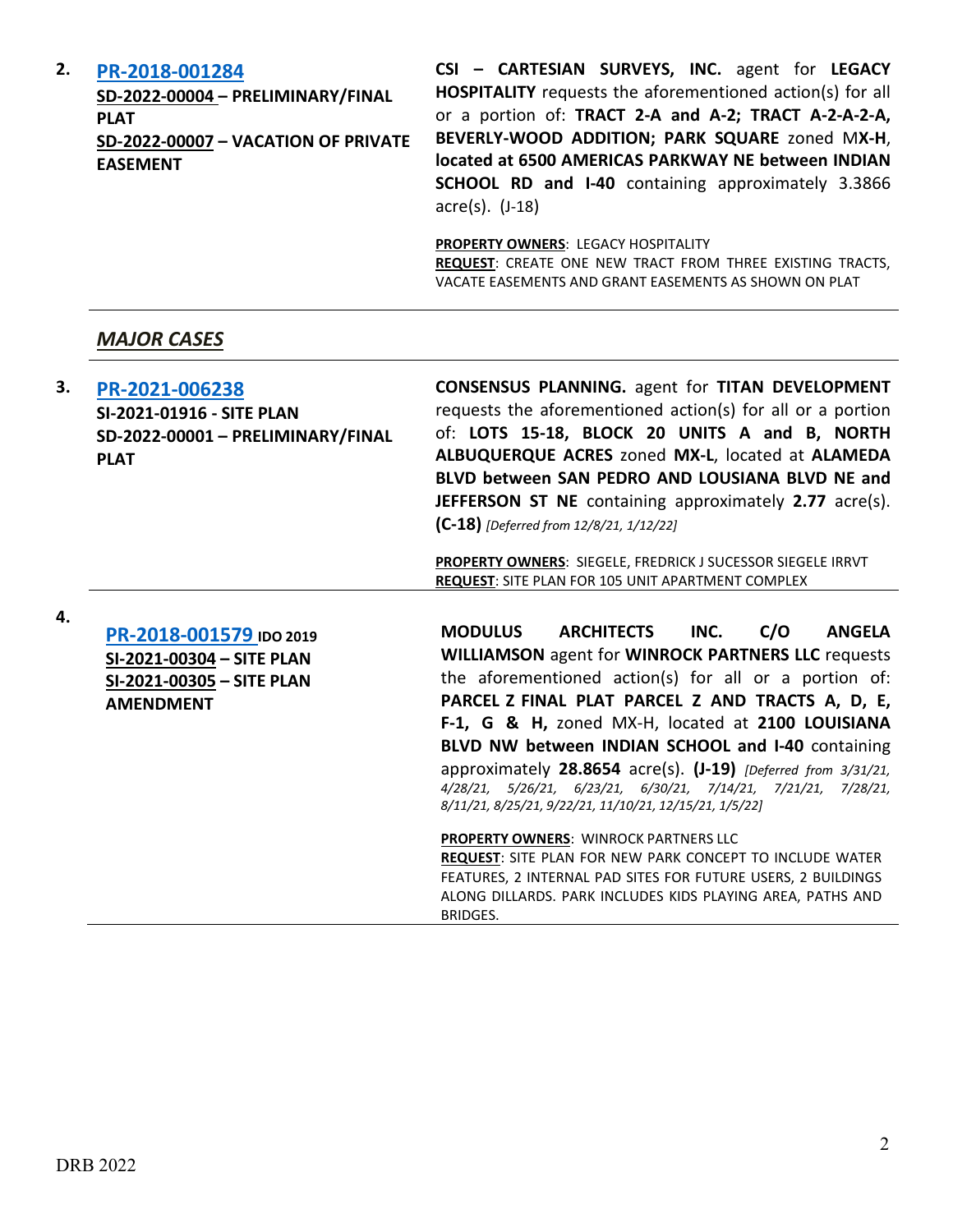| 2. | PR-2018-001284<br>SD-2022-00004 - PRELIMINARY/FINAL<br><b>PLAT</b><br>SD-2022-00007 - VACATION OF PRIVATE<br><b>EASEMENT</b> | CSI - CARTESIAN SURVEYS, INC. agent for LEGACY<br><b>HOSPITALITY</b> requests the aforementioned action(s) for all<br>or a portion of: TRACT 2-A and A-2; TRACT A-2-A-2-A,<br>BEVERLY-WOOD ADDITION; PARK SQUARE zoned MX-H,<br>located at 6500 AMERICAS PARKWAY NE between INDIAN<br>SCHOOL RD and I-40 containing approximately 3.3866<br>$\arccos(5)$ . $(J-18)$ |
|----|------------------------------------------------------------------------------------------------------------------------------|---------------------------------------------------------------------------------------------------------------------------------------------------------------------------------------------------------------------------------------------------------------------------------------------------------------------------------------------------------------------|
|    |                                                                                                                              | <b>PROPERTY OWNERS: LEGACY HOSPITALITY</b><br>REQUEST: CREATE ONE NEW TRACT FROM THREE EXISTING TRACTS,<br>VACATE EASEMENTS AND GRANT EASEMENTS AS SHOWN ON PLAT                                                                                                                                                                                                    |
|    | <b>MAJOR CASES</b>                                                                                                           |                                                                                                                                                                                                                                                                                                                                                                     |

| 3. | PR-2021-006238<br>SI-2021-01916 - SITE PLAN<br>SD-2022-00001 - PRELIMINARY/FINAL<br><b>PLAT</b>       | <b>CONSENSUS PLANNING.</b> agent for TITAN DEVELOPMENT<br>requests the aforementioned action(s) for all or a portion<br>of: LOTS 15-18, BLOCK 20 UNITS A and B, NORTH<br>ALBUQUERQUE ACRES zoned MX-L, located at ALAMEDA<br>BLVD between SAN PEDRO AND LOUSIANA BLVD NE and<br><b>JEFFERSON ST NE</b> containing approximately 2.77 acre(s).<br>$(C-18)$ [Deferred from 12/8/21, 1/12/22] |
|----|-------------------------------------------------------------------------------------------------------|--------------------------------------------------------------------------------------------------------------------------------------------------------------------------------------------------------------------------------------------------------------------------------------------------------------------------------------------------------------------------------------------|
|    |                                                                                                       | <b>PROPERTY OWNERS: SIEGELE, FREDRICK J SUCESSOR SIEGELE IRRVT</b><br><b>REQUEST: SITE PLAN FOR 105 UNIT APARTMENT COMPLEX</b>                                                                                                                                                                                                                                                             |
| 4. | PR-2018-001579 IDO 2019<br>SI-2021-00304 - SITE PLAN<br>SI-2021-00305 - SITE PLAN<br><b>AMENDMENT</b> | <b>MODULUS</b><br><b>ARCHITECTS</b><br>INC.<br>C/O<br><b>ANGELA</b><br><b>WILLIAMSON</b> agent for <b>WINROCK PARTNERS LLC</b> requests<br>the aforementioned action(s) for all or a portion of:<br>PARCEL Z FINAL PLAT PARCEL Z AND TRACTS A, D, E,                                                                                                                                       |

**PARCEL Z FINAL PLAT PARCEL Z AND TRACTS A, D, E, F-1, G & H,** zoned MX-H, located at **2100 LOUISIANA BLVD NW between INDIAN SCHOOL and I-40** containing approximately **28.8654** acre(s). **(J-19)** *[Deferred from 3/31/21, 4/28/21, 5/26/21, 6/23/21, 6/30/21, 7/14/21, 7/21/21, 7/28/21, 8/11/21, 8/25/21, 9/22/21, 11/10/21, 12/15/21, 1/5/22]*

**PROPERTY OWNERS**: WINROCK PARTNERS LLC **REQUEST**: SITE PLAN FOR NEW PARK CONCEPT TO INCLUDE WATER FEATURES, 2 INTERNAL PAD SITES FOR FUTURE USERS, 2 BUILDINGS ALONG DILLARDS. PARK INCLUDES KIDS PLAYING AREA, PATHS AND BRIDGES.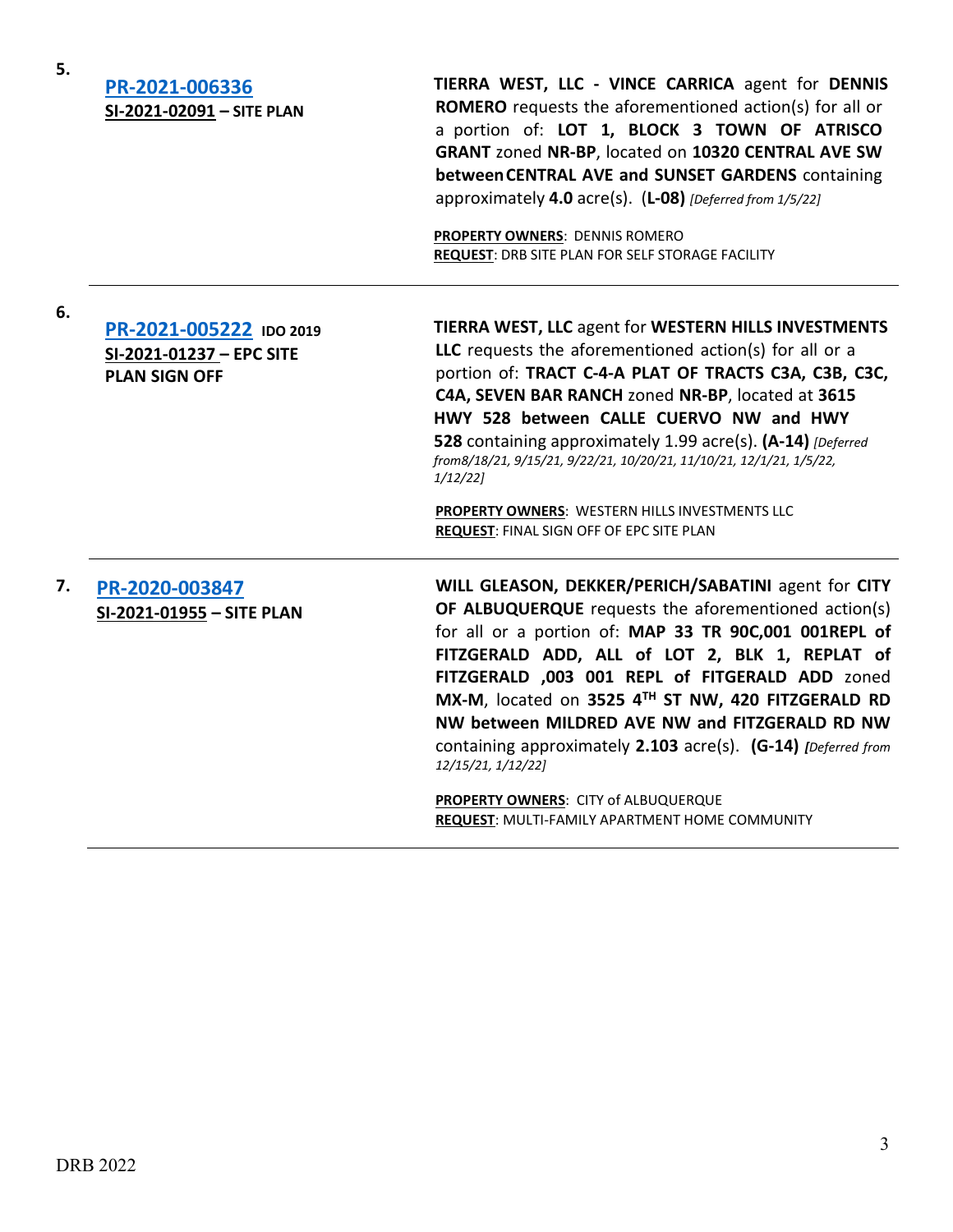| 5. | PR-2021-006336<br>SI-2021-02091 - SITE PLAN                                 | TIERRA WEST, LLC - VINCE CARRICA agent for DENNIS<br><b>ROMERO</b> requests the aforementioned action(s) for all or<br>a portion of: LOT 1, BLOCK 3 TOWN OF ATRISCO<br>GRANT zoned NR-BP, located on 10320 CENTRAL AVE SW<br>between CENTRAL AVE and SUNSET GARDENS containing<br>approximately 4.0 acre(s). (L-08) [Deferred from 1/5/22]<br><b>PROPERTY OWNERS: DENNIS ROMERO</b><br><b>REQUEST: DRB SITE PLAN FOR SELF STORAGE FACILITY</b>                                                                                                                     |
|----|-----------------------------------------------------------------------------|--------------------------------------------------------------------------------------------------------------------------------------------------------------------------------------------------------------------------------------------------------------------------------------------------------------------------------------------------------------------------------------------------------------------------------------------------------------------------------------------------------------------------------------------------------------------|
| 6. | PR-2021-005222 IDO 2019<br>SI-2021-01237 - EPC SITE<br><b>PLAN SIGN OFF</b> | TIERRA WEST, LLC agent for WESTERN HILLS INVESTMENTS<br>LLC requests the aforementioned action(s) for all or a<br>portion of: TRACT C-4-A PLAT OF TRACTS C3A, C3B, C3C,<br>C4A, SEVEN BAR RANCH zoned NR-BP, located at 3615<br>HWY 528 between CALLE CUERVO NW and HWY<br>528 containing approximately 1.99 acre(s). (A-14) [Deferred]<br>from8/18/21, 9/15/21, 9/22/21, 10/20/21, 11/10/21, 12/1/21, 1/5/22,<br>$1/12/22$ ]<br>PROPERTY OWNERS: WESTERN HILLS INVESTMENTS LLC<br>REQUEST: FINAL SIGN OFF OF EPC SITE PLAN                                        |
| 7. | PR-2020-003847<br>SI-2021-01955 - SITE PLAN                                 | WILL GLEASON, DEKKER/PERICH/SABATINI agent for CITY<br>OF ALBUQUERQUE requests the aforementioned action(s)<br>for all or a portion of: MAP 33 TR 90C,001 001REPL of<br>FITZGERALD ADD, ALL of LOT 2, BLK 1, REPLAT of<br>FITZGERALD ,003 001 REPL of FITGERALD ADD zoned<br>MX-M, located on 3525 4TH ST NW, 420 FITZGERALD RD<br>NW between MILDRED AVE NW and FITZGERALD RD NW<br>containing approximately 2.103 acre(s). (G-14) [Deferred from<br>12/15/21, 1/12/22]<br>PROPERTY OWNERS: CITY of ALBUQUERQUE<br>REQUEST: MULTI-FAMILY APARTMENT HOME COMMUNITY |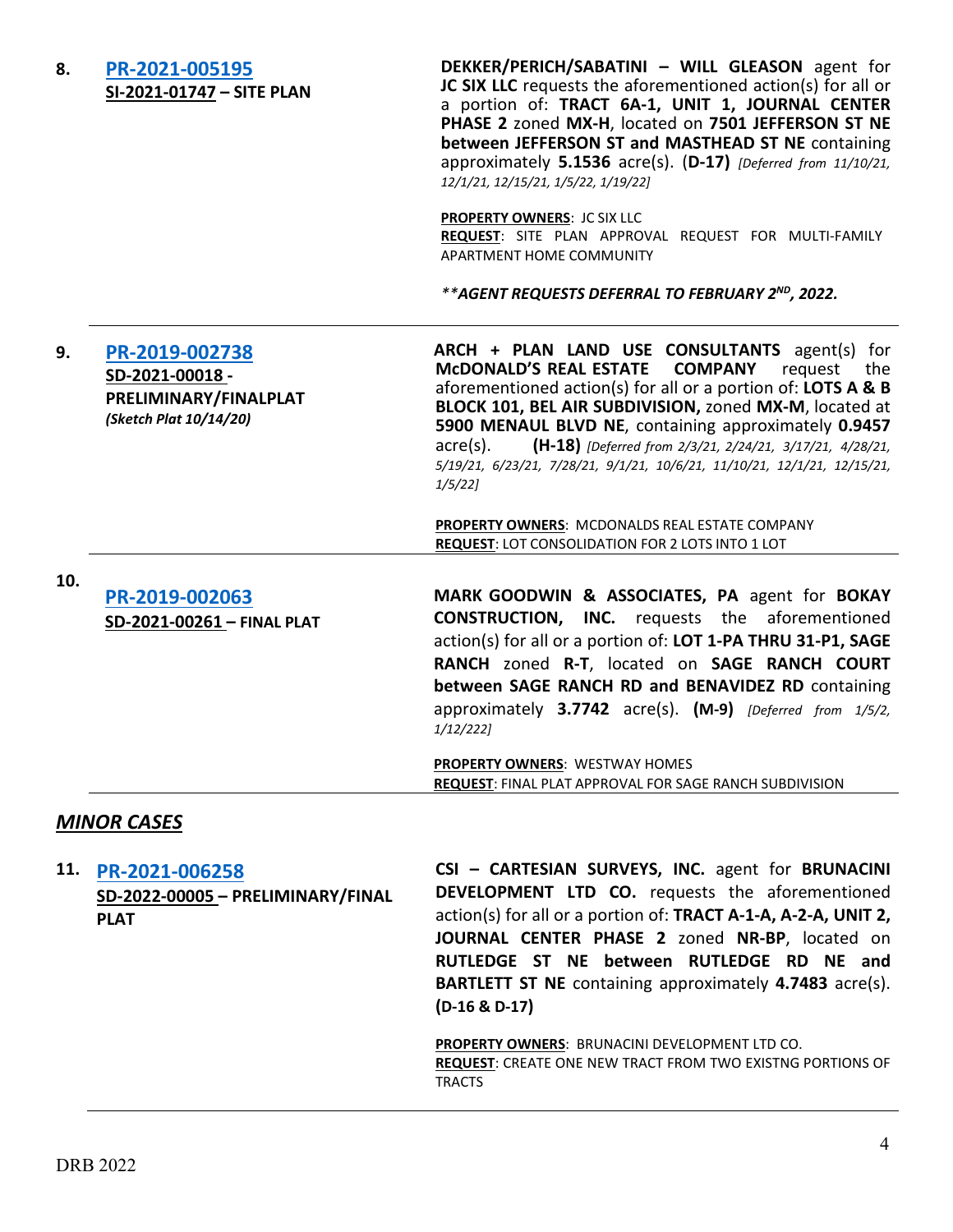| 8.  | PR-2021-005195<br>SI-2021-01747 - SITE PLAN                                         | DEKKER/PERICH/SABATINI - WILL GLEASON agent for<br>JC SIX LLC requests the aforementioned action(s) for all or<br>a portion of: TRACT 6A-1, UNIT 1, JOURNAL CENTER<br>PHASE 2 zoned MX-H, located on 7501 JEFFERSON ST NE<br>between JEFFERSON ST and MASTHEAD ST NE containing<br>approximately 5.1536 acre(s). (D-17) [Deferred from 11/10/21,<br>12/1/21, 12/15/21, 1/5/22, 1/19/22]                                                                                    |
|-----|-------------------------------------------------------------------------------------|----------------------------------------------------------------------------------------------------------------------------------------------------------------------------------------------------------------------------------------------------------------------------------------------------------------------------------------------------------------------------------------------------------------------------------------------------------------------------|
|     |                                                                                     | <b>PROPERTY OWNERS: JC SIX LLC</b><br>REQUEST: SITE PLAN APPROVAL REQUEST FOR MULTI-FAMILY<br>APARTMENT HOME COMMUNITY                                                                                                                                                                                                                                                                                                                                                     |
|     |                                                                                     | <i>**AGENT REQUESTS DEFERRAL TO FEBRUARY 2<sup>ND</sup>, 2022.</i>                                                                                                                                                                                                                                                                                                                                                                                                         |
| 9.  | PR-2019-002738<br>SD-2021-00018-<br>PRELIMINARY/FINALPLAT<br>(Sketch Plat 10/14/20) | ARCH + PLAN LAND USE CONSULTANTS agent(s) for<br><b>MCDONALD'S REAL ESTATE</b><br><b>COMPANY</b><br>request<br>the.<br>aforementioned action(s) for all or a portion of: LOTS A & B<br>BLOCK 101, BEL AIR SUBDIVISION, zoned MX-M, located at<br>5900 MENAUL BLVD NE, containing approximately 0.9457<br>(H-18) [Deferred from 2/3/21, 2/24/21, 3/17/21, 4/28/21,<br>$acre(s)$ .<br>5/19/21, 6/23/21, 7/28/21, 9/1/21, 10/6/21, 11/10/21, 12/1/21, 12/15/21,<br>$1/5/22$ ] |
|     |                                                                                     | PROPERTY OWNERS: MCDONALDS REAL ESTATE COMPANY<br><b>REQUEST: LOT CONSOLIDATION FOR 2 LOTS INTO 1 LOT</b>                                                                                                                                                                                                                                                                                                                                                                  |
| 10. |                                                                                     |                                                                                                                                                                                                                                                                                                                                                                                                                                                                            |
|     | PR-2019-002063<br>SD-2021-00261 - FINAL PLAT                                        | MARK GOODWIN & ASSOCIATES, PA agent for BOKAY<br><b>CONSTRUCTION, INC.</b> requests the aforementioned<br>action(s) for all or a portion of: LOT 1-PA THRU 31-P1, SAGE<br>RANCH zoned R-T, located on SAGE RANCH COURT<br>between SAGE RANCH RD and BENAVIDEZ RD containing<br>approximately 3.7742 acre(s). (M-9) [Deferred from 1/5/2,<br>$1/12/222$ ]                                                                                                                   |
|     |                                                                                     | <b>PROPERTY OWNERS: WESTWAY HOMES</b><br><b>REQUEST: FINAL PLAT APPROVAL FOR SAGE RANCH SUBDIVISION</b>                                                                                                                                                                                                                                                                                                                                                                    |
|     | <b>MINOR CASES</b>                                                                  |                                                                                                                                                                                                                                                                                                                                                                                                                                                                            |
| 11. | PR-2021-006258<br>SD-2022-00005 - PRELIMINARY/FINAL<br><b>PLAT</b>                  | CSI - CARTESIAN SURVEYS, INC. agent for BRUNACINI<br><b>DEVELOPMENT LTD CO.</b> requests the aforementioned<br>action(s) for all or a portion of: TRACT A-1-A, A-2-A, UNIT 2,<br>JOURNAL CENTER PHASE 2 zoned NR-BP, located on<br>RUTLEDGE ST NE between RUTLEDGE RD NE and<br><b>BARTLETT ST NE</b> containing approximately 4.7483 acre(s).<br>$(D-16 & D-17)$<br><b>PROPERTY OWNERS: BRUNACINI DEVELOPMENT LTD CO.</b>                                                 |